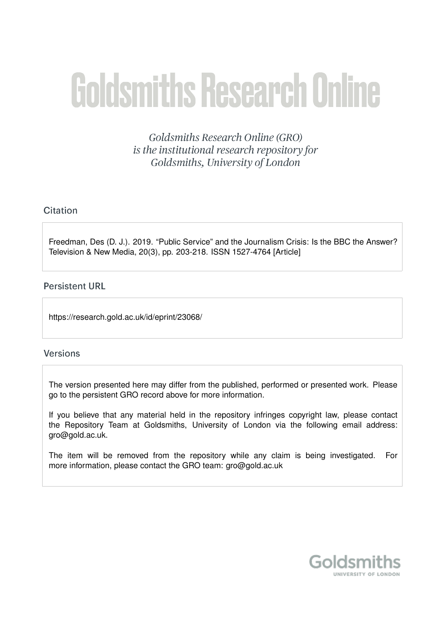# **Goldsmiths Research Online**

Goldsmiths Research Online (GRO) is the institutional research repository for Goldsmiths, University of London

# Citation

Freedman, Des (D. J.). 2019. "Public Service" and the Journalism Crisis: Is the BBC the Answer? Television & New Media, 20(3), pp. 203-218. ISSN 1527-4764 [Article]

# **Persistent URL**

https://research.gold.ac.uk/id/eprint/23068/

# **Versions**

The version presented here may differ from the published, performed or presented work. Please go to the persistent GRO record above for more information.

If you believe that any material held in the repository infringes copyright law, please contact the Repository Team at Goldsmiths, University of London via the following email address: gro@gold.ac.uk.

The item will be removed from the repository while any claim is being investigated. For more information, please contact the GRO team: gro@gold.ac.uk

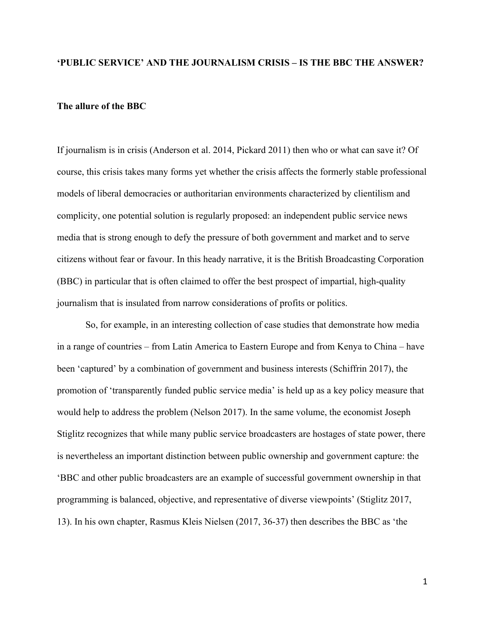#### **'PUBLIC SERVICE' AND THE JOURNALISM CRISIS – IS THE BBC THE ANSWER?**

## **The allure of the BBC**

If journalism is in crisis (Anderson et al. 2014, Pickard 2011) then who or what can save it? Of course, this crisis takes many forms yet whether the crisis affects the formerly stable professional models of liberal democracies or authoritarian environments characterized by clientilism and complicity, one potential solution is regularly proposed: an independent public service news media that is strong enough to defy the pressure of both government and market and to serve citizens without fear or favour. In this heady narrative, it is the British Broadcasting Corporation (BBC) in particular that is often claimed to offer the best prospect of impartial, high-quality journalism that is insulated from narrow considerations of profits or politics.

So, for example, in an interesting collection of case studies that demonstrate how media in a range of countries – from Latin America to Eastern Europe and from Kenya to China – have been 'captured' by a combination of government and business interests (Schiffrin 2017), the promotion of 'transparently funded public service media' is held up as a key policy measure that would help to address the problem (Nelson 2017). In the same volume, the economist Joseph Stiglitz recognizes that while many public service broadcasters are hostages of state power, there is nevertheless an important distinction between public ownership and government capture: the 'BBC and other public broadcasters are an example of successful government ownership in that programming is balanced, objective, and representative of diverse viewpoints' (Stiglitz 2017, 13). In his own chapter, Rasmus Kleis Nielsen (2017, 36-37) then describes the BBC as 'the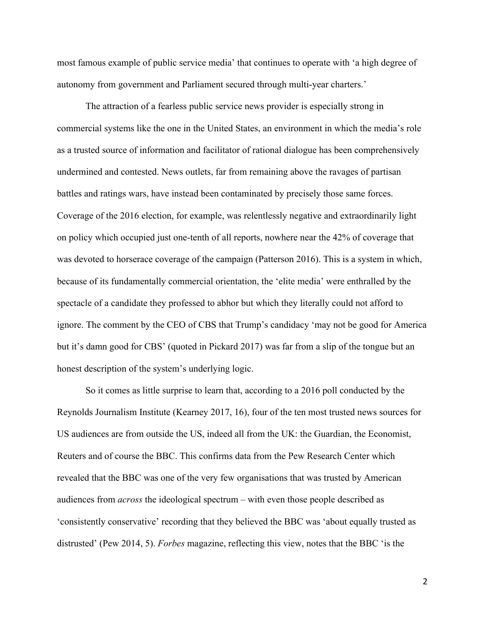most famous example of public service media' that continues to operate with 'a high degree of autonomy from government and Parliament secured through multi-year charters.'

The attraction of a fearless public service news provider is especially strong in commercial systems like the one in the United States, an environment in which the media's role as a trusted source of information and facilitator of rational dialogue has been comprehensively undermined and contested. News outlets, far from remaining above the ravages of partisan battles and ratings wars, have instead been contaminated by precisely those same forces. Coverage of the 2016 election, for example, was relentlessly negative and extraordinarily light on policy which occupied just one-tenth of all reports, nowhere near the 42% of coverage that was devoted to horserace coverage of the campaign (Patterson 2016). This is a system in which, because of its fundamentally commercial orientation, the 'elite media' were enthralled by the spectacle of a candidate they professed to abhor but which they literally could not afford to ignore. The comment by the CEO of CBS that Trump's candidacy 'may not be good for America but it's damn good for CBS' (quoted in Pickard 2017) was far from a slip of the tongue but an honest description of the system's underlying logic.

So it comes as little surprise to learn that, according to a 2016 poll conducted by the Reynolds Journalism Institute (Kearney 2017, 16), four of the ten most trusted news sources for US audiences are from outside the US, indeed all from the UK: the Guardian, the Economist, Reuters and of course the BBC. This confirms data from the Pew Research Center which revealed that the BBC was one of the very few organisations that was trusted by American audiences from *across* the ideological spectrum – with even those people described as 'consistently conservative' recording that they believed the BBC was 'about equally trusted as distrusted' (Pew 2014, 5). *Forbes* magazine, reflecting this view, notes that the BBC 'is the

 $\mathfrak{D}$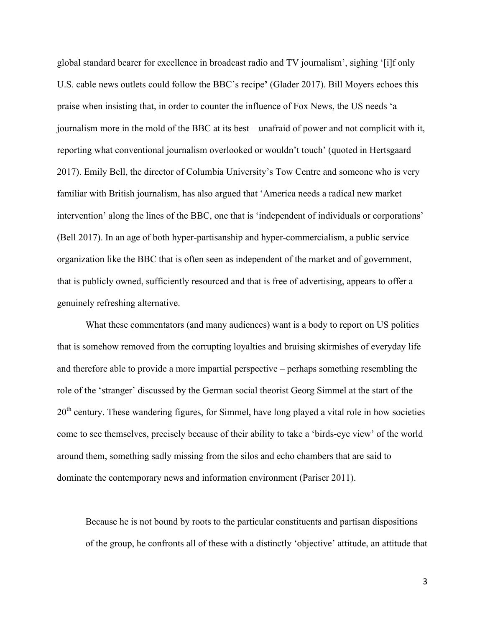global standard bearer for excellence in broadcast radio and TV journalism', sighing '[i]f only U.S. cable news outlets could follow the BBC's recipe**'** (Glader 2017). Bill Moyers echoes this praise when insisting that, in order to counter the influence of Fox News, the US needs 'a journalism more in the mold of the BBC at its best – unafraid of power and not complicit with it, reporting what conventional journalism overlooked or wouldn't touch' (quoted in Hertsgaard 2017). Emily Bell, the director of Columbia University's Tow Centre and someone who is very familiar with British journalism, has also argued that 'America needs a radical new market intervention' along the lines of the BBC, one that is 'independent of individuals or corporations' (Bell 2017). In an age of both hyper-partisanship and hyper-commercialism, a public service organization like the BBC that is often seen as independent of the market and of government, that is publicly owned, sufficiently resourced and that is free of advertising, appears to offer a genuinely refreshing alternative.

What these commentators (and many audiences) want is a body to report on US politics that is somehow removed from the corrupting loyalties and bruising skirmishes of everyday life and therefore able to provide a more impartial perspective – perhaps something resembling the role of the 'stranger' discussed by the German social theorist Georg Simmel at the start of the  $20<sup>th</sup>$  century. These wandering figures, for Simmel, have long played a vital role in how societies come to see themselves, precisely because of their ability to take a 'birds-eye view' of the world around them, something sadly missing from the silos and echo chambers that are said to dominate the contemporary news and information environment (Pariser 2011).

Because he is not bound by roots to the particular constituents and partisan dispositions of the group, he confronts all of these with a distinctly 'objective' attitude, an attitude that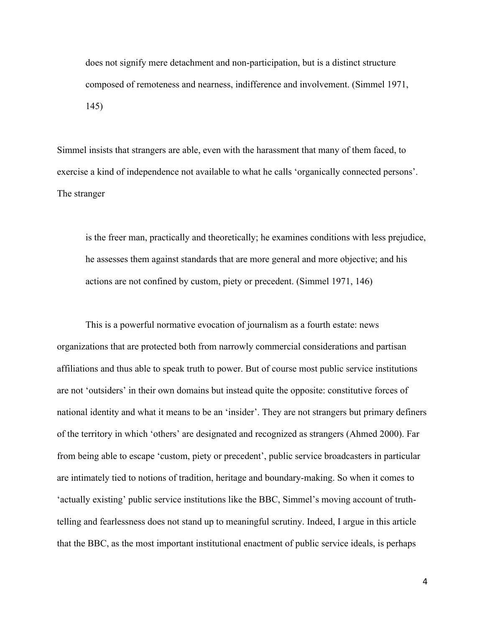does not signify mere detachment and non-participation, but is a distinct structure composed of remoteness and nearness, indifference and involvement. (Simmel 1971, 145)

Simmel insists that strangers are able, even with the harassment that many of them faced, to exercise a kind of independence not available to what he calls 'organically connected persons'. The stranger

is the freer man, practically and theoretically; he examines conditions with less prejudice, he assesses them against standards that are more general and more objective; and his actions are not confined by custom, piety or precedent. (Simmel 1971, 146)

This is a powerful normative evocation of journalism as a fourth estate: news organizations that are protected both from narrowly commercial considerations and partisan affiliations and thus able to speak truth to power. But of course most public service institutions are not 'outsiders' in their own domains but instead quite the opposite: constitutive forces of national identity and what it means to be an 'insider'. They are not strangers but primary definers of the territory in which 'others' are designated and recognized as strangers (Ahmed 2000). Far from being able to escape 'custom, piety or precedent', public service broadcasters in particular are intimately tied to notions of tradition, heritage and boundary-making. So when it comes to 'actually existing' public service institutions like the BBC, Simmel's moving account of truthtelling and fearlessness does not stand up to meaningful scrutiny. Indeed, I argue in this article that the BBC, as the most important institutional enactment of public service ideals, is perhaps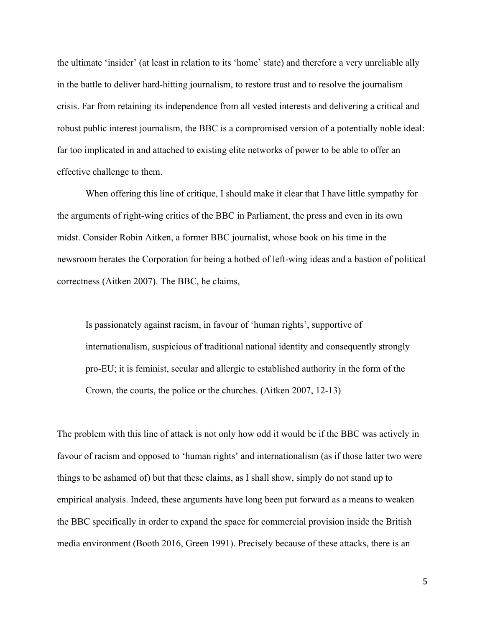the ultimate 'insider' (at least in relation to its 'home' state) and therefore a very unreliable ally in the battle to deliver hard-hitting journalism, to restore trust and to resolve the journalism crisis. Far from retaining its independence from all vested interests and delivering a critical and robust public interest journalism, the BBC is a compromised version of a potentially noble ideal: far too implicated in and attached to existing elite networks of power to be able to offer an effective challenge to them.

When offering this line of critique, I should make it clear that I have little sympathy for the arguments of right-wing critics of the BBC in Parliament, the press and even in its own midst. Consider Robin Aitken, a former BBC journalist, whose book on his time in the newsroom berates the Corporation for being a hotbed of left-wing ideas and a bastion of political correctness (Aitken 2007). The BBC, he claims,

Is passionately against racism, in favour of 'human rights', supportive of internationalism, suspicious of traditional national identity and consequently strongly pro-EU; it is feminist, secular and allergic to established authority in the form of the Crown, the courts, the police or the churches. (Aitken 2007, 12-13)

The problem with this line of attack is not only how odd it would be if the BBC was actively in favour of racism and opposed to 'human rights' and internationalism (as if those latter two were things to be ashamed of) but that these claims, as I shall show, simply do not stand up to empirical analysis. Indeed, these arguments have long been put forward as a means to weaken the BBC specifically in order to expand the space for commercial provision inside the British media environment (Booth 2016, Green 1991). Precisely because of these attacks, there is an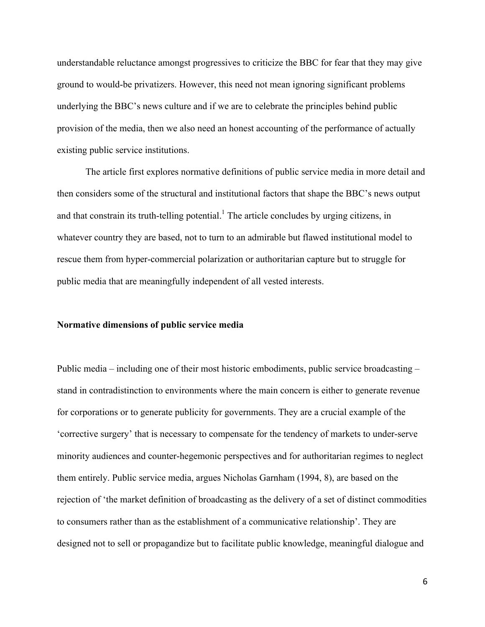understandable reluctance amongst progressives to criticize the BBC for fear that they may give ground to would-be privatizers. However, this need not mean ignoring significant problems underlying the BBC's news culture and if we are to celebrate the principles behind public provision of the media, then we also need an honest accounting of the performance of actually existing public service institutions.

The article first explores normative definitions of public service media in more detail and then considers some of the structural and institutional factors that shape the BBC's news output and that constrain its truth-telling potential.<sup>1</sup> The article concludes by urging citizens, in whatever country they are based, not to turn to an admirable but flawed institutional model to rescue them from hyper-commercial polarization or authoritarian capture but to struggle for public media that are meaningfully independent of all vested interests.

#### **Normative dimensions of public service media**

Public media – including one of their most historic embodiments, public service broadcasting – stand in contradistinction to environments where the main concern is either to generate revenue for corporations or to generate publicity for governments. They are a crucial example of the 'corrective surgery' that is necessary to compensate for the tendency of markets to under-serve minority audiences and counter-hegemonic perspectives and for authoritarian regimes to neglect them entirely. Public service media, argues Nicholas Garnham (1994, 8), are based on the rejection of 'the market definition of broadcasting as the delivery of a set of distinct commodities to consumers rather than as the establishment of a communicative relationship'. They are designed not to sell or propagandize but to facilitate public knowledge, meaningful dialogue and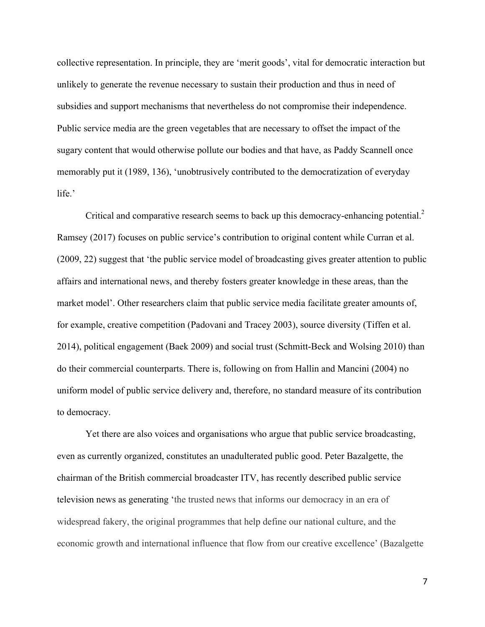collective representation. In principle, they are 'merit goods', vital for democratic interaction but unlikely to generate the revenue necessary to sustain their production and thus in need of subsidies and support mechanisms that nevertheless do not compromise their independence. Public service media are the green vegetables that are necessary to offset the impact of the sugary content that would otherwise pollute our bodies and that have, as Paddy Scannell once memorably put it (1989, 136), 'unobtrusively contributed to the democratization of everyday life.'

Critical and comparative research seems to back up this democracy-enhancing potential.<sup>2</sup> Ramsey (2017) focuses on public service's contribution to original content while Curran et al. (2009, 22) suggest that 'the public service model of broadcasting gives greater attention to public affairs and international news, and thereby fosters greater knowledge in these areas, than the market model'. Other researchers claim that public service media facilitate greater amounts of, for example, creative competition (Padovani and Tracey 2003), source diversity (Tiffen et al. 2014), political engagement (Baek 2009) and social trust (Schmitt-Beck and Wolsing 2010) than do their commercial counterparts. There is, following on from Hallin and Mancini (2004) no uniform model of public service delivery and, therefore, no standard measure of its contribution to democracy.

Yet there are also voices and organisations who argue that public service broadcasting, even as currently organized, constitutes an unadulterated public good. Peter Bazalgette, the chairman of the British commercial broadcaster ITV, has recently described public service television news as generating 'the trusted news that informs our democracy in an era of widespread fakery, the original programmes that help define our national culture, and the economic growth and international influence that flow from our creative excellence' (Bazalgette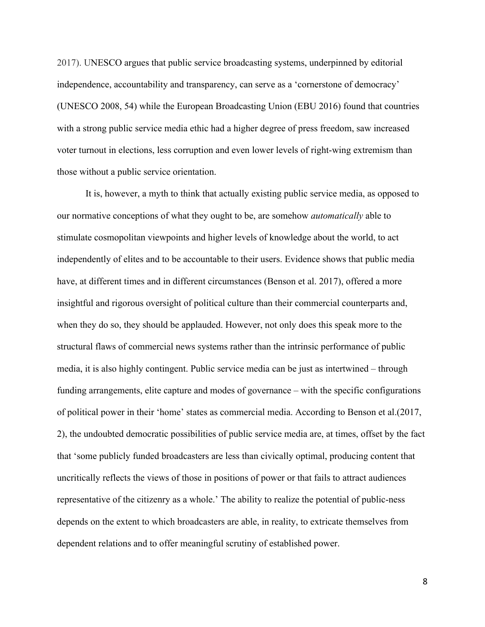2017). UNESCO argues that public service broadcasting systems, underpinned by editorial independence, accountability and transparency, can serve as a 'cornerstone of democracy' (UNESCO 2008, 54) while the European Broadcasting Union (EBU 2016) found that countries with a strong public service media ethic had a higher degree of press freedom, saw increased voter turnout in elections, less corruption and even lower levels of right-wing extremism than those without a public service orientation.

It is, however, a myth to think that actually existing public service media, as opposed to our normative conceptions of what they ought to be, are somehow *automatically* able to stimulate cosmopolitan viewpoints and higher levels of knowledge about the world, to act independently of elites and to be accountable to their users. Evidence shows that public media have, at different times and in different circumstances (Benson et al. 2017), offered a more insightful and rigorous oversight of political culture than their commercial counterparts and, when they do so, they should be applauded. However, not only does this speak more to the structural flaws of commercial news systems rather than the intrinsic performance of public media, it is also highly contingent. Public service media can be just as intertwined – through funding arrangements, elite capture and modes of governance – with the specific configurations of political power in their 'home' states as commercial media. According to Benson et al.(2017, 2), the undoubted democratic possibilities of public service media are, at times, offset by the fact that 'some publicly funded broadcasters are less than civically optimal, producing content that uncritically reflects the views of those in positions of power or that fails to attract audiences representative of the citizenry as a whole.' The ability to realize the potential of public-ness depends on the extent to which broadcasters are able, in reality, to extricate themselves from dependent relations and to offer meaningful scrutiny of established power.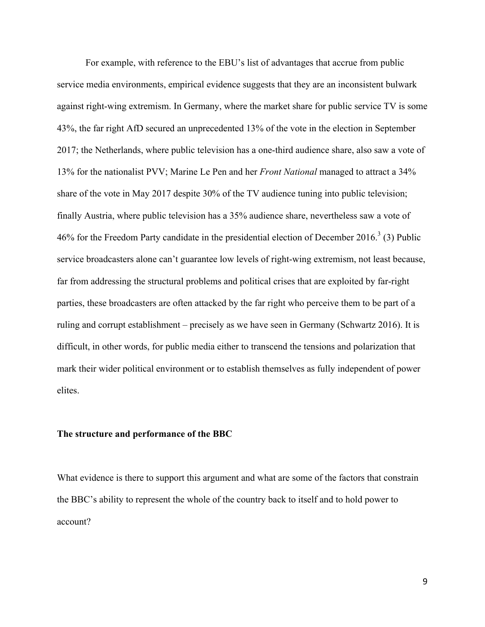For example, with reference to the EBU's list of advantages that accrue from public service media environments, empirical evidence suggests that they are an inconsistent bulwark against right-wing extremism. In Germany, where the market share for public service TV is some 43%, the far right AfD secured an unprecedented 13% of the vote in the election in September 2017; the Netherlands, where public television has a one-third audience share, also saw a vote of 13% for the nationalist PVV; Marine Le Pen and her *Front National* managed to attract a 34% share of the vote in May 2017 despite 30% of the TV audience tuning into public television; finally Austria, where public television has a 35% audience share, nevertheless saw a vote of 46% for the Freedom Party candidate in the presidential election of December 2016.<sup>3</sup> (3) Public service broadcasters alone can't guarantee low levels of right-wing extremism, not least because, far from addressing the structural problems and political crises that are exploited by far-right parties, these broadcasters are often attacked by the far right who perceive them to be part of a ruling and corrupt establishment – precisely as we have seen in Germany (Schwartz 2016). It is difficult, in other words, for public media either to transcend the tensions and polarization that mark their wider political environment or to establish themselves as fully independent of power elites.

#### **The structure and performance of the BBC**

What evidence is there to support this argument and what are some of the factors that constrain the BBC's ability to represent the whole of the country back to itself and to hold power to account?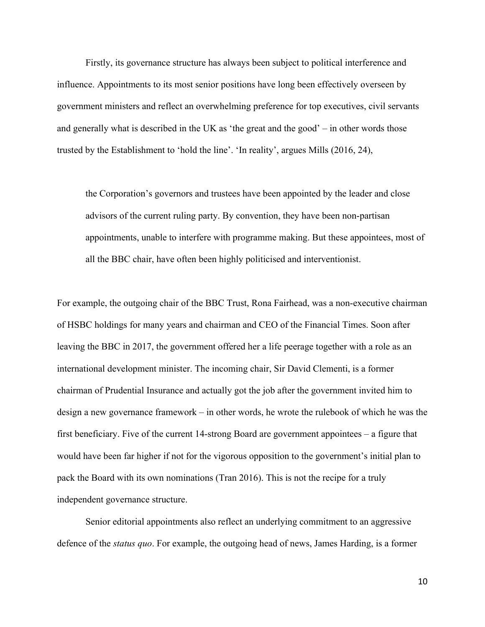Firstly, its governance structure has always been subject to political interference and influence. Appointments to its most senior positions have long been effectively overseen by government ministers and reflect an overwhelming preference for top executives, civil servants and generally what is described in the UK as 'the great and the good' – in other words those trusted by the Establishment to 'hold the line'. 'In reality', argues Mills (2016, 24),

the Corporation's governors and trustees have been appointed by the leader and close advisors of the current ruling party. By convention, they have been non-partisan appointments, unable to interfere with programme making. But these appointees, most of all the BBC chair, have often been highly politicised and interventionist.

For example, the outgoing chair of the BBC Trust, Rona Fairhead, was a non-executive chairman of HSBC holdings for many years and chairman and CEO of the Financial Times. Soon after leaving the BBC in 2017, the government offered her a life peerage together with a role as an international development minister. The incoming chair, Sir David Clementi, is a former chairman of Prudential Insurance and actually got the job after the government invited him to design a new governance framework – in other words, he wrote the rulebook of which he was the first beneficiary. Five of the current 14-strong Board are government appointees – a figure that would have been far higher if not for the vigorous opposition to the government's initial plan to pack the Board with its own nominations (Tran 2016). This is not the recipe for a truly independent governance structure.

Senior editorial appointments also reflect an underlying commitment to an aggressive defence of the *status quo*. For example, the outgoing head of news, James Harding, is a former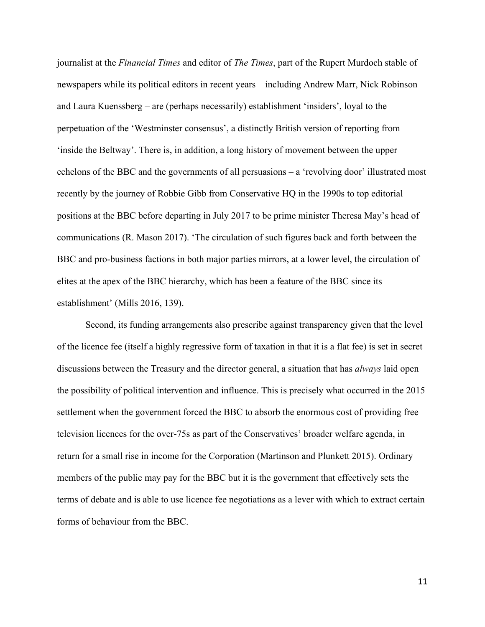journalist at the *Financial Times* and editor of *The Times*, part of the Rupert Murdoch stable of newspapers while its political editors in recent years – including Andrew Marr, Nick Robinson and Laura Kuenssberg – are (perhaps necessarily) establishment 'insiders', loyal to the perpetuation of the 'Westminster consensus', a distinctly British version of reporting from 'inside the Beltway'. There is, in addition, a long history of movement between the upper echelons of the BBC and the governments of all persuasions – a 'revolving door' illustrated most recently by the journey of Robbie Gibb from Conservative HQ in the 1990s to top editorial positions at the BBC before departing in July 2017 to be prime minister Theresa May's head of communications (R. Mason 2017). 'The circulation of such figures back and forth between the BBC and pro-business factions in both major parties mirrors, at a lower level, the circulation of elites at the apex of the BBC hierarchy, which has been a feature of the BBC since its establishment' (Mills 2016, 139).

Second, its funding arrangements also prescribe against transparency given that the level of the licence fee (itself a highly regressive form of taxation in that it is a flat fee) is set in secret discussions between the Treasury and the director general, a situation that has *always* laid open the possibility of political intervention and influence. This is precisely what occurred in the 2015 settlement when the government forced the BBC to absorb the enormous cost of providing free television licences for the over-75s as part of the Conservatives' broader welfare agenda, in return for a small rise in income for the Corporation (Martinson and Plunkett 2015). Ordinary members of the public may pay for the BBC but it is the government that effectively sets the terms of debate and is able to use licence fee negotiations as a lever with which to extract certain forms of behaviour from the BBC.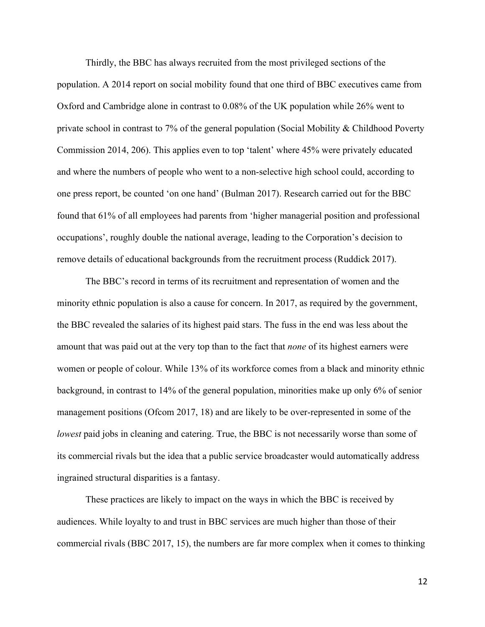Thirdly, the BBC has always recruited from the most privileged sections of the population. A 2014 report on social mobility found that one third of BBC executives came from Oxford and Cambridge alone in contrast to 0.08% of the UK population while 26% went to private school in contrast to 7% of the general population (Social Mobility & Childhood Poverty Commission 2014, 206). This applies even to top 'talent' where 45% were privately educated and where the numbers of people who went to a non-selective high school could, according to one press report, be counted 'on one hand' (Bulman 2017). Research carried out for the BBC found that 61% of all employees had parents from 'higher managerial position and professional occupations', roughly double the national average, leading to the Corporation's decision to remove details of educational backgrounds from the recruitment process (Ruddick 2017).

The BBC's record in terms of its recruitment and representation of women and the minority ethnic population is also a cause for concern. In 2017, as required by the government, the BBC revealed the salaries of its highest paid stars. The fuss in the end was less about the amount that was paid out at the very top than to the fact that *none* of its highest earners were women or people of colour. While 13% of its workforce comes from a black and minority ethnic background, in contrast to 14% of the general population, minorities make up only 6% of senior management positions (Ofcom 2017, 18) and are likely to be over-represented in some of the *lowest* paid jobs in cleaning and catering. True, the BBC is not necessarily worse than some of its commercial rivals but the idea that a public service broadcaster would automatically address ingrained structural disparities is a fantasy.

These practices are likely to impact on the ways in which the BBC is received by audiences. While loyalty to and trust in BBC services are much higher than those of their commercial rivals (BBC 2017, 15), the numbers are far more complex when it comes to thinking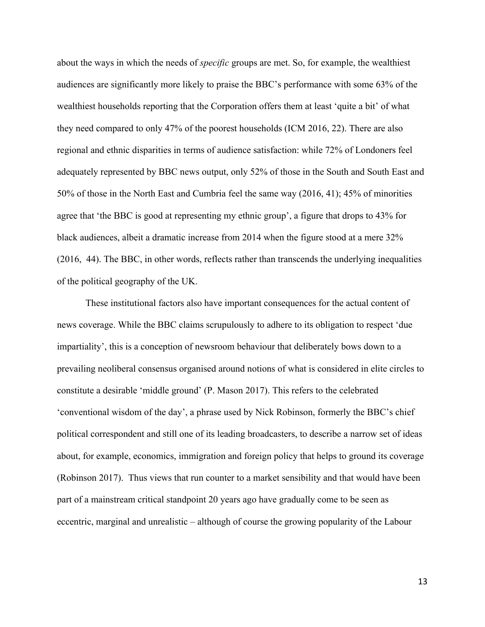about the ways in which the needs of *specific* groups are met. So, for example, the wealthiest audiences are significantly more likely to praise the BBC's performance with some 63% of the wealthiest households reporting that the Corporation offers them at least 'quite a bit' of what they need compared to only 47% of the poorest households (ICM 2016, 22). There are also regional and ethnic disparities in terms of audience satisfaction: while 72% of Londoners feel adequately represented by BBC news output, only 52% of those in the South and South East and 50% of those in the North East and Cumbria feel the same way (2016, 41); 45% of minorities agree that 'the BBC is good at representing my ethnic group', a figure that drops to 43% for black audiences, albeit a dramatic increase from 2014 when the figure stood at a mere 32% (2016, 44). The BBC, in other words, reflects rather than transcends the underlying inequalities of the political geography of the UK.

These institutional factors also have important consequences for the actual content of news coverage. While the BBC claims scrupulously to adhere to its obligation to respect 'due impartiality', this is a conception of newsroom behaviour that deliberately bows down to a prevailing neoliberal consensus organised around notions of what is considered in elite circles to constitute a desirable 'middle ground' (P. Mason 2017). This refers to the celebrated 'conventional wisdom of the day', a phrase used by Nick Robinson, formerly the BBC's chief political correspondent and still one of its leading broadcasters, to describe a narrow set of ideas about, for example, economics, immigration and foreign policy that helps to ground its coverage (Robinson 2017). Thus views that run counter to a market sensibility and that would have been part of a mainstream critical standpoint 20 years ago have gradually come to be seen as eccentric, marginal and unrealistic – although of course the growing popularity of the Labour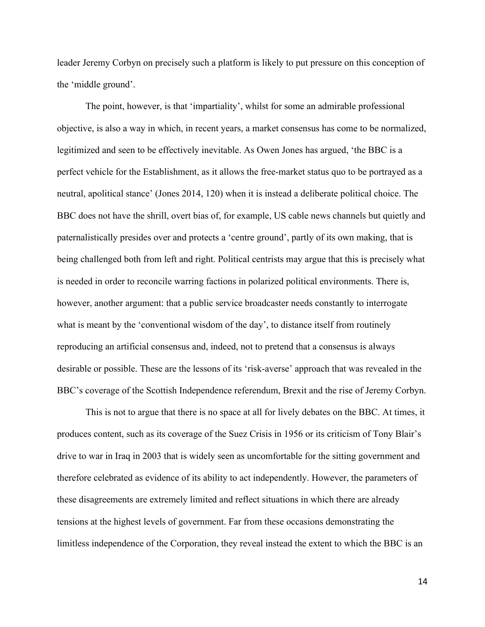leader Jeremy Corbyn on precisely such a platform is likely to put pressure on this conception of the 'middle ground'.

The point, however, is that 'impartiality', whilst for some an admirable professional objective, is also a way in which, in recent years, a market consensus has come to be normalized, legitimized and seen to be effectively inevitable. As Owen Jones has argued, 'the BBC is a perfect vehicle for the Establishment, as it allows the free-market status quo to be portrayed as a neutral, apolitical stance' (Jones 2014, 120) when it is instead a deliberate political choice. The BBC does not have the shrill, overt bias of, for example, US cable news channels but quietly and paternalistically presides over and protects a 'centre ground', partly of its own making, that is being challenged both from left and right. Political centrists may argue that this is precisely what is needed in order to reconcile warring factions in polarized political environments. There is, however, another argument: that a public service broadcaster needs constantly to interrogate what is meant by the 'conventional wisdom of the day', to distance itself from routinely reproducing an artificial consensus and, indeed, not to pretend that a consensus is always desirable or possible. These are the lessons of its 'risk-averse' approach that was revealed in the BBC's coverage of the Scottish Independence referendum, Brexit and the rise of Jeremy Corbyn.

This is not to argue that there is no space at all for lively debates on the BBC. At times, it produces content, such as its coverage of the Suez Crisis in 1956 or its criticism of Tony Blair's drive to war in Iraq in 2003 that is widely seen as uncomfortable for the sitting government and therefore celebrated as evidence of its ability to act independently. However, the parameters of these disagreements are extremely limited and reflect situations in which there are already tensions at the highest levels of government. Far from these occasions demonstrating the limitless independence of the Corporation, they reveal instead the extent to which the BBC is an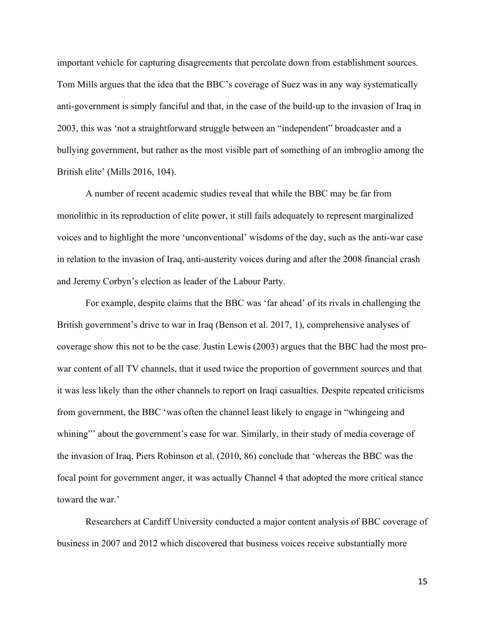important vehicle for capturing disagreements that percolate down from establishment sources. Tom Mills argues that the idea that the BBC's coverage of Suez was in any way systematically anti-government is simply fanciful and that, in the case of the build-up to the invasion of Iraq in 2003, this was 'not a straightforward struggle between an "independent" broadcaster and a bullying government, but rather as the most visible part of something of an imbroglio among the British elite' (Mills 2016, 104).

A number of recent academic studies reveal that while the BBC may be far from monolithic in its reproduction of elite power, it still fails adequately to represent marginalized voices and to highlight the more 'unconventional' wisdoms of the day, such as the anti-war case in relation to the invasion of Iraq, anti-austerity voices during and after the 2008 financial crash and Jeremy Corbyn's election as leader of the Labour Party.

For example, despite claims that the BBC was 'far ahead' of its rivals in challenging the British government's drive to war in Iraq (Benson et al. 2017, 1), comprehensive analyses of coverage show this not to be the case. Justin Lewis (2003) argues that the BBC had the most prowar content of all TV channels, that it used twice the proportion of government sources and that it was less likely than the other channels to report on Iraqi casualties. Despite repeated criticisms from government, the BBC 'was often the channel least likely to engage in "whingeing and whining" about the government's case for war. Similarly, in their study of media coverage of the invasion of Iraq, Piers Robinson et al. (2010, 86) conclude that 'whereas the BBC was the focal point for government anger, it was actually Channel 4 that adopted the more critical stance toward the war.'

Researchers at Cardiff University conducted a major content analysis of BBC coverage of business in 2007 and 2012 which discovered that business voices receive substantially more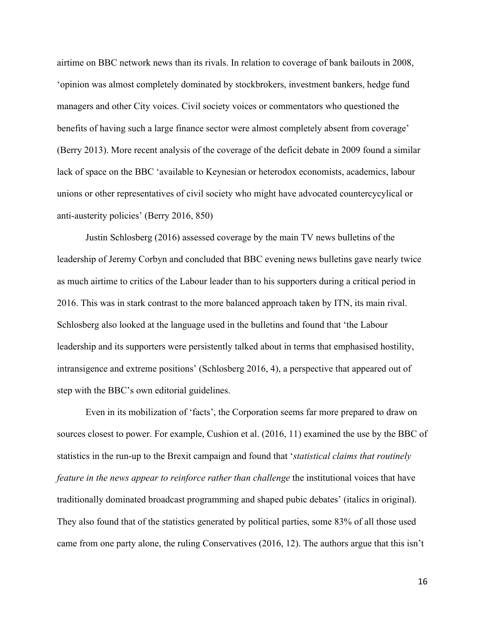airtime on BBC network news than its rivals. In relation to coverage of bank bailouts in 2008, 'opinion was almost completely dominated by stockbrokers, investment bankers, hedge fund managers and other City voices. Civil society voices or commentators who questioned the benefits of having such a large finance sector were almost completely absent from coverage' (Berry 2013). More recent analysis of the coverage of the deficit debate in 2009 found a similar lack of space on the BBC 'available to Keynesian or heterodox economists, academics, labour unions or other representatives of civil society who might have advocated countercycylical or anti-austerity policies' (Berry 2016, 850)

Justin Schlosberg (2016) assessed coverage by the main TV news bulletins of the leadership of Jeremy Corbyn and concluded that BBC evening news bulletins gave nearly twice as much airtime to critics of the Labour leader than to his supporters during a critical period in 2016. This was in stark contrast to the more balanced approach taken by ITN, its main rival. Schlosberg also looked at the language used in the bulletins and found that 'the Labour leadership and its supporters were persistently talked about in terms that emphasised hostility, intransigence and extreme positions' (Schlosberg 2016, 4), a perspective that appeared out of step with the BBC's own editorial guidelines.

Even in its mobilization of 'facts', the Corporation seems far more prepared to draw on sources closest to power. For example, Cushion et al. (2016, 11) examined the use by the BBC of statistics in the run-up to the Brexit campaign and found that '*statistical claims that routinely feature in the news appear to reinforce rather than challenge* the institutional voices that have traditionally dominated broadcast programming and shaped pubic debates' (italics in original). They also found that of the statistics generated by political parties, some 83% of all those used came from one party alone, the ruling Conservatives (2016, 12). The authors argue that this isn't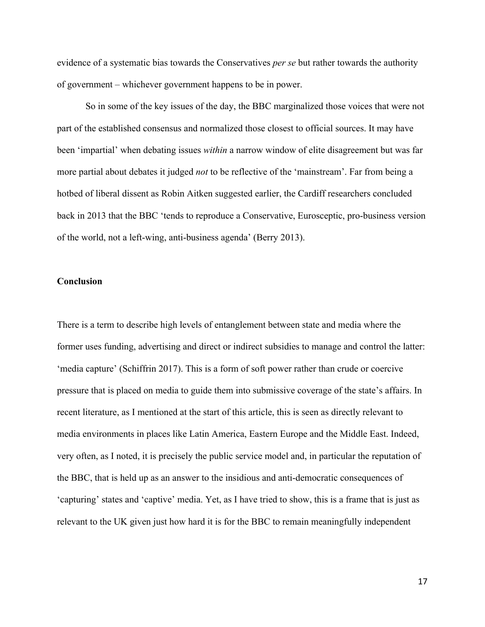evidence of a systematic bias towards the Conservatives *per se* but rather towards the authority of government – whichever government happens to be in power.

So in some of the key issues of the day, the BBC marginalized those voices that were not part of the established consensus and normalized those closest to official sources. It may have been 'impartial' when debating issues *within* a narrow window of elite disagreement but was far more partial about debates it judged *not* to be reflective of the 'mainstream'. Far from being a hotbed of liberal dissent as Robin Aitken suggested earlier, the Cardiff researchers concluded back in 2013 that the BBC 'tends to reproduce a Conservative, Eurosceptic, pro-business version of the world, not a left-wing, anti-business agenda' (Berry 2013).

## **Conclusion**

There is a term to describe high levels of entanglement between state and media where the former uses funding, advertising and direct or indirect subsidies to manage and control the latter: 'media capture' (Schiffrin 2017). This is a form of soft power rather than crude or coercive pressure that is placed on media to guide them into submissive coverage of the state's affairs. In recent literature, as I mentioned at the start of this article, this is seen as directly relevant to media environments in places like Latin America, Eastern Europe and the Middle East. Indeed, very often, as I noted, it is precisely the public service model and, in particular the reputation of the BBC, that is held up as an answer to the insidious and anti-democratic consequences of 'capturing' states and 'captive' media. Yet, as I have tried to show, this is a frame that is just as relevant to the UK given just how hard it is for the BBC to remain meaningfully independent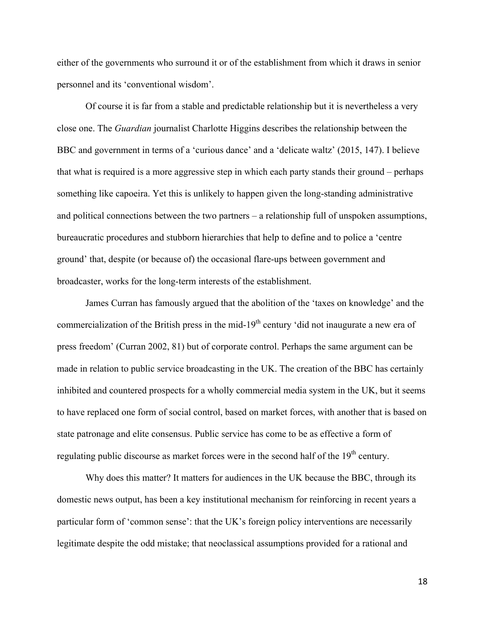either of the governments who surround it or of the establishment from which it draws in senior personnel and its 'conventional wisdom'.

Of course it is far from a stable and predictable relationship but it is nevertheless a very close one. The *Guardian* journalist Charlotte Higgins describes the relationship between the BBC and government in terms of a 'curious dance' and a 'delicate waltz' (2015, 147). I believe that what is required is a more aggressive step in which each party stands their ground – perhaps something like capoeira. Yet this is unlikely to happen given the long-standing administrative and political connections between the two partners – a relationship full of unspoken assumptions, bureaucratic procedures and stubborn hierarchies that help to define and to police a 'centre ground' that, despite (or because of) the occasional flare-ups between government and broadcaster, works for the long-term interests of the establishment.

James Curran has famously argued that the abolition of the 'taxes on knowledge' and the commercialization of the British press in the mid-19<sup>th</sup> century 'did not inaugurate a new era of press freedom' (Curran 2002, 81) but of corporate control. Perhaps the same argument can be made in relation to public service broadcasting in the UK. The creation of the BBC has certainly inhibited and countered prospects for a wholly commercial media system in the UK, but it seems to have replaced one form of social control, based on market forces, with another that is based on state patronage and elite consensus. Public service has come to be as effective a form of regulating public discourse as market forces were in the second half of the 19<sup>th</sup> century.

Why does this matter? It matters for audiences in the UK because the BBC, through its domestic news output, has been a key institutional mechanism for reinforcing in recent years a particular form of 'common sense': that the UK's foreign policy interventions are necessarily legitimate despite the odd mistake; that neoclassical assumptions provided for a rational and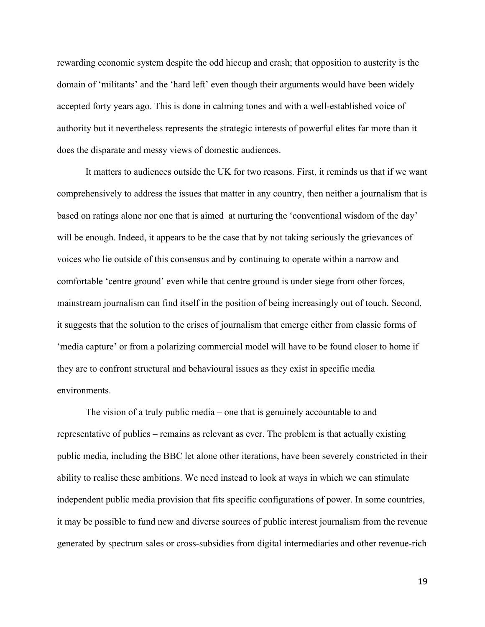rewarding economic system despite the odd hiccup and crash; that opposition to austerity is the domain of 'militants' and the 'hard left' even though their arguments would have been widely accepted forty years ago. This is done in calming tones and with a well-established voice of authority but it nevertheless represents the strategic interests of powerful elites far more than it does the disparate and messy views of domestic audiences.

It matters to audiences outside the UK for two reasons. First, it reminds us that if we want comprehensively to address the issues that matter in any country, then neither a journalism that is based on ratings alone nor one that is aimed at nurturing the 'conventional wisdom of the day' will be enough. Indeed, it appears to be the case that by not taking seriously the grievances of voices who lie outside of this consensus and by continuing to operate within a narrow and comfortable 'centre ground' even while that centre ground is under siege from other forces, mainstream journalism can find itself in the position of being increasingly out of touch. Second, it suggests that the solution to the crises of journalism that emerge either from classic forms of 'media capture' or from a polarizing commercial model will have to be found closer to home if they are to confront structural and behavioural issues as they exist in specific media environments.

The vision of a truly public media – one that is genuinely accountable to and representative of publics – remains as relevant as ever. The problem is that actually existing public media, including the BBC let alone other iterations, have been severely constricted in their ability to realise these ambitions. We need instead to look at ways in which we can stimulate independent public media provision that fits specific configurations of power. In some countries, it may be possible to fund new and diverse sources of public interest journalism from the revenue generated by spectrum sales or cross-subsidies from digital intermediaries and other revenue-rich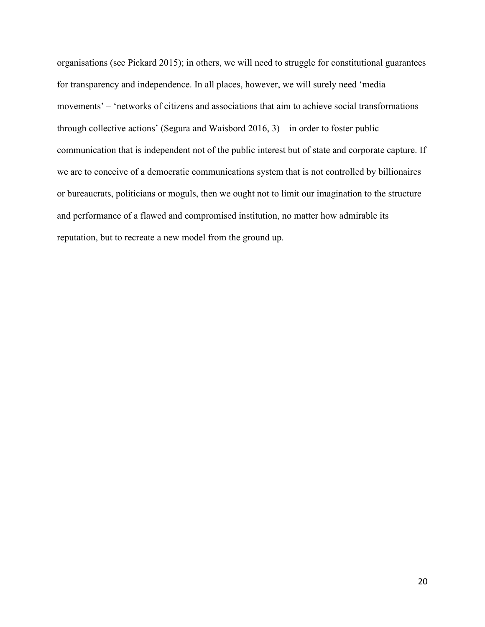organisations (see Pickard 2015); in others, we will need to struggle for constitutional guarantees for transparency and independence. In all places, however, we will surely need 'media movements' – 'networks of citizens and associations that aim to achieve social transformations through collective actions' (Segura and Waisbord 2016, 3) – in order to foster public communication that is independent not of the public interest but of state and corporate capture. If we are to conceive of a democratic communications system that is not controlled by billionaires or bureaucrats, politicians or moguls, then we ought not to limit our imagination to the structure and performance of a flawed and compromised institution, no matter how admirable its reputation, but to recreate a new model from the ground up.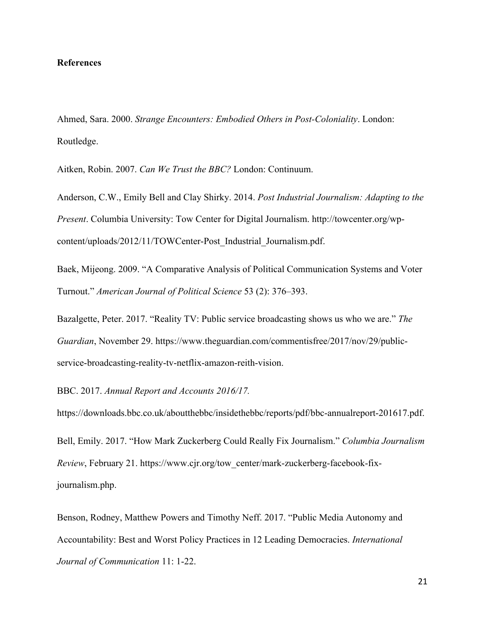## **References**

Ahmed, Sara. 2000. *Strange Encounters: Embodied Others in Post-Coloniality*. London: Routledge.

Aitken, Robin. 2007. *Can We Trust the BBC?* London: Continuum.

Anderson, C.W., Emily Bell and Clay Shirky. 2014. *Post Industrial Journalism: Adapting to the Present*. Columbia University: Tow Center for Digital Journalism. http://towcenter.org/wpcontent/uploads/2012/11/TOWCenter-Post\_Industrial\_Journalism.pdf.

Baek, Mijeong. 2009. "A Comparative Analysis of Political Communication Systems and Voter Turnout." *American Journal of Political Science* 53 (2): 376–393.

Bazalgette, Peter. 2017. "Reality TV: Public service broadcasting shows us who we are." *The Guardian*, November 29. https://www.theguardian.com/commentisfree/2017/nov/29/publicservice-broadcasting-reality-tv-netflix-amazon-reith-vision.

BBC. 2017. *Annual Report and Accounts 2016/17.*

https://downloads.bbc.co.uk/aboutthebbc/insidethebbc/reports/pdf/bbc-annualreport-201617.pdf.

Bell, Emily. 2017. "How Mark Zuckerberg Could Really Fix Journalism." *Columbia Journalism Review*, February 21. https://www.cjr.org/tow\_center/mark-zuckerberg-facebook-fixjournalism.php.

Benson, Rodney, Matthew Powers and Timothy Neff. 2017. "Public Media Autonomy and Accountability: Best and Worst Policy Practices in 12 Leading Democracies. *International Journal of Communication* 11: 1-22.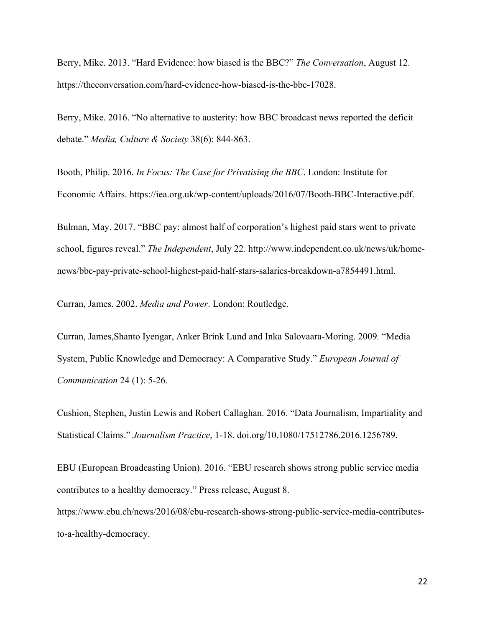Berry, Mike. 2013. "Hard Evidence: how biased is the BBC?" *The Conversation*, August 12. https://theconversation.com/hard-evidence-how-biased-is-the-bbc-17028.

Berry, Mike. 2016. "No alternative to austerity: how BBC broadcast news reported the deficit debate." *Media, Culture & Society* 38(6): 844-863.

Booth, Philip. 2016. *In Focus: The Case for Privatising the BBC*. London: Institute for Economic Affairs. https://iea.org.uk/wp-content/uploads/2016/07/Booth-BBC-Interactive.pdf.

Bulman, May. 2017. "BBC pay: almost half of corporation's highest paid stars went to private school, figures reveal." *The Independent*, July 22. http://www.independent.co.uk/news/uk/homenews/bbc-pay-private-school-highest-paid-half-stars-salaries-breakdown-a7854491.html.

Curran, James. 2002. *Media and Power*. London: Routledge.

Curran, James,Shanto Iyengar, Anker Brink Lund and Inka Salovaara-Moring. 2009*.* "Media System, Public Knowledge and Democracy: A Comparative Study." *European Journal of Communication* 24 (1): 5-26.

Cushion, Stephen, Justin Lewis and Robert Callaghan. 2016. "Data Journalism, Impartiality and Statistical Claims." *Journalism Practice*, 1-18. doi.org/10.1080/17512786.2016.1256789.

EBU (European Broadcasting Union). 2016. "EBU research shows strong public service media contributes to a healthy democracy." Press release, August 8.

https://www.ebu.ch/news/2016/08/ebu-research-shows-strong-public-service-media-contributesto-a-healthy-democracy.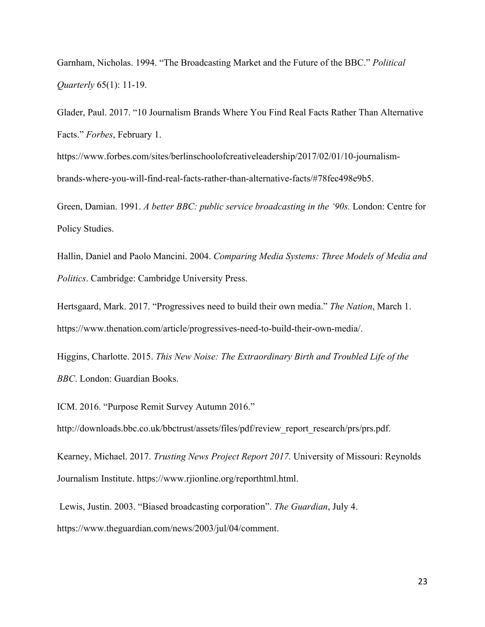Garnham, Nicholas. 1994. "The Broadcasting Market and the Future of the BBC." *Political Quarterly* 65(1): 11-19.

Glader, Paul. 2017. "10 Journalism Brands Where You Find Real Facts Rather Than Alternative Facts." *Forbes*, February 1.

https://www.forbes.com/sites/berlinschoolofcreativeleadership/2017/02/01/10-journalismbrands-where-you-will-find-real-facts-rather-than-alternative-facts/#78fec498e9b5.

Green, Damian. 1991. *A better BBC: public service broadcasting in the '90s.* London: Centre for Policy Studies.

Hallin, Daniel and Paolo Mancini. 2004. *Comparing Media Systems: Three Models of Media and Politics*. Cambridge: Cambridge University Press.

Hertsgaard, Mark. 2017. "Progressives need to build their own media." *The Nation*, March 1. https://www.thenation.com/article/progressives-need-to-build-their-own-media/.

Higgins, Charlotte. 2015. *This New Noise: The Extraordinary Birth and Troubled Life of the BBC*. London: Guardian Books.

ICM. 2016. "Purpose Remit Survey Autumn 2016."

http://downloads.bbc.co.uk/bbctrust/assets/files/pdf/review\_report\_research/prs/prs.pdf.

Kearney, Michael. 2017. *Trusting News Project Report 2017.* University of Missouri: Reynolds Journalism Institute. https://www.rjionline.org/reporthtml.html.

Lewis, Justin. 2003. "Biased broadcasting corporation". *The Guardian*, July 4. https://www.theguardian.com/news/2003/jul/04/comment.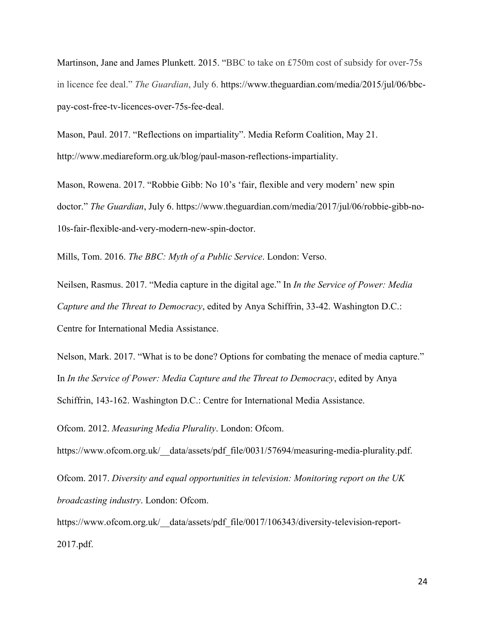Martinson, Jane and James Plunkett. 2015. "BBC to take on £750m cost of subsidy for over-75s in licence fee deal." *The Guardian*, July 6. https://www.theguardian.com/media/2015/jul/06/bbcpay-cost-free-tv-licences-over-75s-fee-deal.

Mason, Paul. 2017. "Reflections on impartiality". Media Reform Coalition, May 21. http://www.mediareform.org.uk/blog/paul-mason-reflections-impartiality.

Mason, Rowena. 2017. "Robbie Gibb: No 10's 'fair, flexible and very modern' new spin doctor." *The Guardian*, July 6. https://www.theguardian.com/media/2017/jul/06/robbie-gibb-no-10s-fair-flexible-and-very-modern-new-spin-doctor.

Mills, Tom. 2016. *The BBC: Myth of a Public Service*. London: Verso.

Neilsen, Rasmus. 2017. "Media capture in the digital age." In *In the Service of Power: Media Capture and the Threat to Democracy*, edited by Anya Schiffrin, 33-42. Washington D.C.: Centre for International Media Assistance.

Nelson, Mark. 2017. "What is to be done? Options for combating the menace of media capture." In *In the Service of Power: Media Capture and the Threat to Democracy*, edited by Anya Schiffrin, 143-162. Washington D.C.: Centre for International Media Assistance.

Ofcom. 2012. *Measuring Media Plurality*. London: Ofcom.

https://www.ofcom.org.uk/ data/assets/pdf file/0031/57694/measuring-media-plurality.pdf.

Ofcom. 2017. *Diversity and equal opportunities in television: Monitoring report on the UK broadcasting industry*. London: Ofcom.

https://www.ofcom.org.uk/ data/assets/pdf file/0017/106343/diversity-television-report-2017.pdf.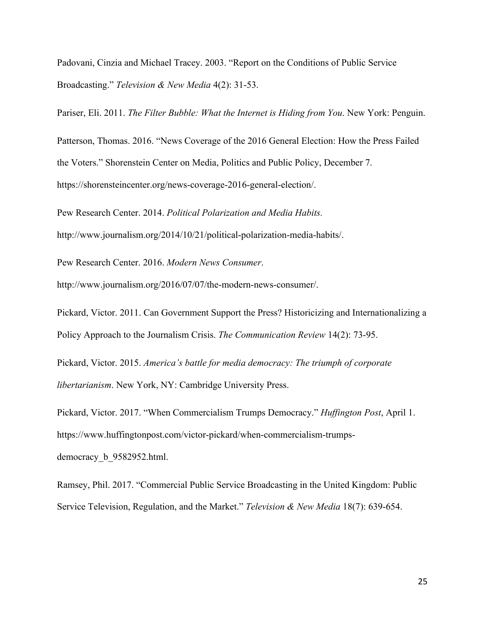Padovani, Cinzia and Michael Tracey. 2003. "Report on the Conditions of Public Service Broadcasting." *Television & New Media* 4(2): 31-53.

Pariser, Eli. 2011. *The Filter Bubble: What the Internet is Hiding from You*. New York: Penguin.

Patterson, Thomas. 2016. "News Coverage of the 2016 General Election: How the Press Failed the Voters." Shorenstein Center on Media, Politics and Public Policy, December 7. https://shorensteincenter.org/news-coverage-2016-general-election/.

Pew Research Center. 2014. *Political Polarization and Media Habits.*  http://www.journalism.org/2014/10/21/political-polarization-media-habits/.

Pew Research Center. 2016. *Modern News Consumer*.

http://www.journalism.org/2016/07/07/the-modern-news-consumer/.

Pickard, Victor. 2011. Can Government Support the Press? Historicizing and Internationalizing a Policy Approach to the Journalism Crisis. *The Communication Review* 14(2): 73-95.

Pickard, Victor. 2015. *America's battle for media democracy: The triumph of corporate libertarianism*. New York, NY: Cambridge University Press.

Pickard, Victor. 2017. "When Commercialism Trumps Democracy." *Huffington Post*, April 1. https://www.huffingtonpost.com/victor-pickard/when-commercialism-trumpsdemocracy\_b\_9582952.html.

Ramsey, Phil. 2017. "Commercial Public Service Broadcasting in the United Kingdom: Public Service Television, Regulation, and the Market." *Television & New Media* 18(7): 639-654.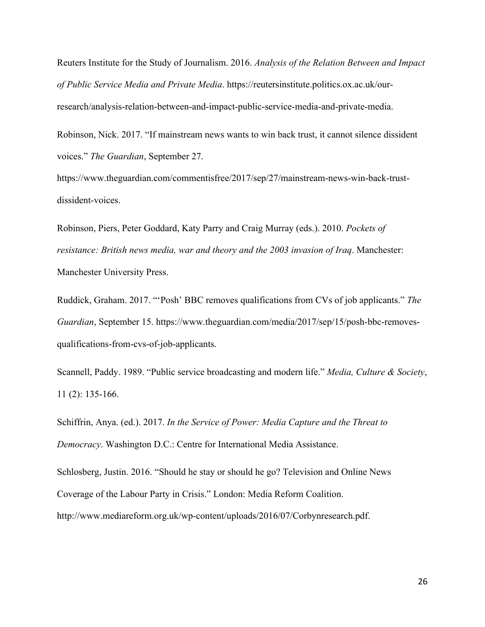Reuters Institute for the Study of Journalism. 2016. *Analysis of the Relation Between and Impact of Public Service Media and Private Media*. https://reutersinstitute.politics.ox.ac.uk/ourresearch/analysis-relation-between-and-impact-public-service-media-and-private-media.

Robinson, Nick. 2017. "If mainstream news wants to win back trust, it cannot silence dissident voices." *The Guardian*, September 27.

https://www.theguardian.com/commentisfree/2017/sep/27/mainstream-news-win-back-trustdissident-voices.

Robinson, Piers, Peter Goddard, Katy Parry and Craig Murray (eds.). 2010. *Pockets of resistance: British news media, war and theory and the 2003 invasion of Iraq*. Manchester: Manchester University Press.

Ruddick, Graham. 2017. "'Posh' BBC removes qualifications from CVs of job applicants." *The Guardian*, September 15. https://www.theguardian.com/media/2017/sep/15/posh-bbc-removesqualifications-from-cvs-of-job-applicants.

Scannell, Paddy. 1989. "Public service broadcasting and modern life." *Media, Culture & Society*, 11 (2): 135-166.

Schiffrin, Anya. (ed.). 2017. *In the Service of Power: Media Capture and the Threat to Democracy*. Washington D.C.: Centre for International Media Assistance.

Schlosberg, Justin. 2016. "Should he stay or should he go? Television and Online News Coverage of the Labour Party in Crisis." London: Media Reform Coalition. http://www.mediareform.org.uk/wp-content/uploads/2016/07/Corbynresearch.pdf.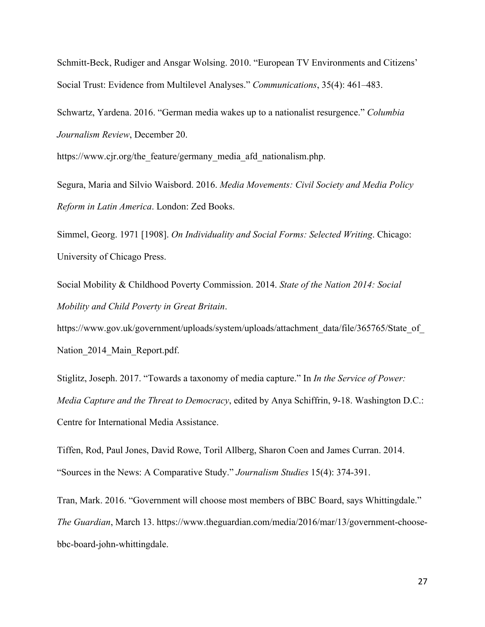Schmitt-Beck, Rudiger and Ansgar Wolsing. 2010. "European TV Environments and Citizens' Social Trust: Evidence from Multilevel Analyses." *Communications*, 35(4): 461–483.

Schwartz, Yardena. 2016. "German media wakes up to a nationalist resurgence." *Columbia Journalism Review*, December 20.

https://www.cjr.org/the\_feature/germany\_media\_afd\_nationalism.php.

Segura, Maria and Silvio Waisbord. 2016. *Media Movements: Civil Society and Media Policy Reform in Latin America*. London: Zed Books.

Simmel, Georg. 1971 [1908]. *On Individuality and Social Forms: Selected Writing*. Chicago: University of Chicago Press.

Social Mobility & Childhood Poverty Commission. 2014. *State of the Nation 2014: Social Mobility and Child Poverty in Great Britain*.

https://www.gov.uk/government/uploads/system/uploads/attachment\_data/file/365765/State\_of\_ Nation 2014 Main Report.pdf.

Stiglitz, Joseph. 2017. "Towards a taxonomy of media capture." In *In the Service of Power: Media Capture and the Threat to Democracy*, edited by Anya Schiffrin, 9-18. Washington D.C.: Centre for International Media Assistance.

Tiffen, Rod, Paul Jones, David Rowe, Toril Allberg, Sharon Coen and James Curran. 2014. "Sources in the News: A Comparative Study." *Journalism Studies* 15(4): 374-391.

Tran, Mark. 2016. "Government will choose most members of BBC Board, says Whittingdale." *The Guardian*, March 13. https://www.theguardian.com/media/2016/mar/13/government-choosebbc-board-john-whittingdale.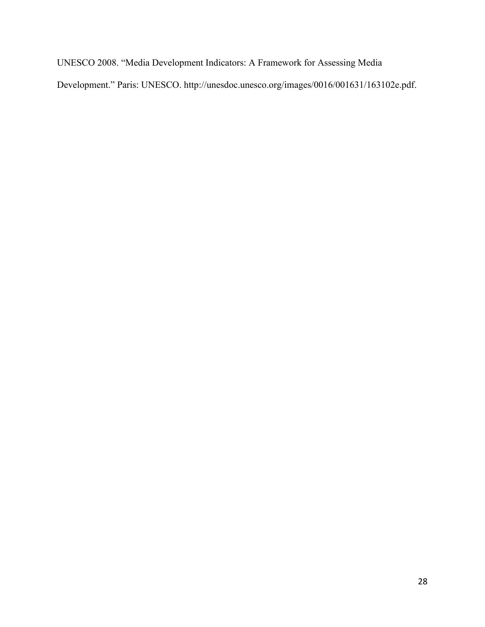UNESCO 2008. "Media Development Indicators: A Framework for Assessing Media Development." Paris: UNESCO. http://unesdoc.unesco.org/images/0016/001631/163102e.pdf.